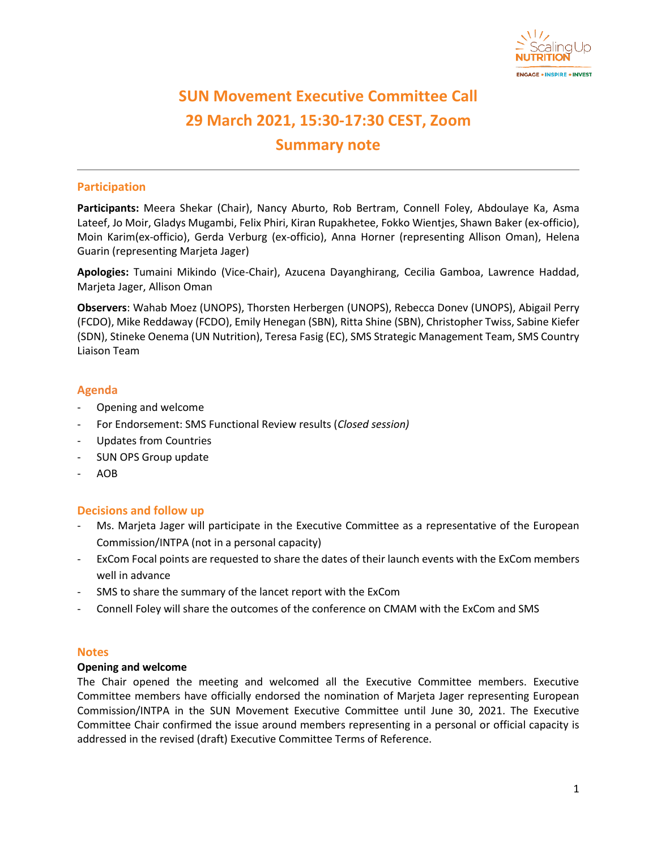

# **SUN Movement Executive Committee Call 29 March 2021, 15:30-17:30 CEST, Zoom Summary note**

# **Participation**

**Participants:** Meera Shekar (Chair), Nancy Aburto, Rob Bertram, Connell Foley, Abdoulaye Ka, Asma Lateef, Jo Moir, Gladys Mugambi, Felix Phiri, Kiran Rupakhetee, Fokko Wientjes, Shawn Baker (ex-officio), Moin Karim(ex-officio), Gerda Verburg (ex-officio), Anna Horner (representing Allison Oman), Helena Guarin (representing Marjeta Jager)

**Apologies:** Tumaini Mikindo (Vice-Chair), Azucena Dayanghirang, Cecilia Gamboa, Lawrence Haddad, Marjeta Jager, Allison Oman

**Observers**: Wahab Moez (UNOPS), Thorsten Herbergen (UNOPS), Rebecca Donev (UNOPS), Abigail Perry (FCDO), Mike Reddaway (FCDO), Emily Henegan (SBN), Ritta Shine (SBN), Christopher Twiss, Sabine Kiefer (SDN), Stineke Oenema (UN Nutrition), Teresa Fasig (EC), SMS Strategic Management Team, SMS Country Liaison Team

## **Agenda**

- Opening and welcome
- For Endorsement: SMS Functional Review results (*Closed session)*
- Updates from Countries
- SUN OPS Group update
- AOB

## **Decisions and follow up**

- Ms. Marjeta Jager will participate in the Executive Committee as a representative of the European Commission/INTPA (not in a personal capacity)
- ExCom Focal points are requested to share the dates of their launch events with the ExCom members well in advance
- SMS to share the summary of the lancet report with the ExCom
- Connell Foley will share the outcomes of the conference on CMAM with the ExCom and SMS

#### **Notes**

## **Opening and welcome**

The Chair opened the meeting and welcomed all the Executive Committee members. Executive Committee members have officially endorsed the nomination of Marjeta Jager representing European Commission/INTPA in the SUN Movement Executive Committee until June 30, 2021. The Executive Committee Chair confirmed the issue around members representing in a personal or official capacity is addressed in the revised (draft) Executive Committee Terms of Reference.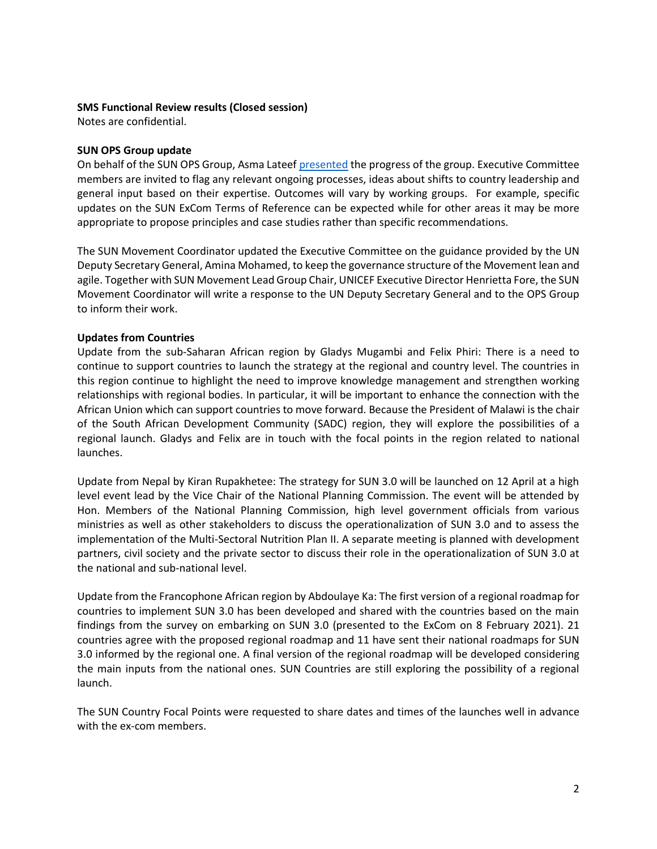#### **SMS Functional Review results (Closed session)**

Notes are confidential.

#### **SUN OPS Group update**

On behalf of the SUN OPS Group, Asma Lateef [presented](https://scalingupnutrition.sharepoint.com/:b:/s/public55/EaE_Kqi4ys9OuixEtkuClKABJrOM29OK3X3fsm-HFfgUmQ?e=zZPQM2) the progress of the group. Executive Committee members are invited to flag any relevant ongoing processes, ideas about shifts to country leadership and general input based on their expertise. Outcomes will vary by working groups. For example, specific updates on the SUN ExCom Terms of Reference can be expected while for other areas it may be more appropriate to propose principles and case studies rather than specific recommendations.

The SUN Movement Coordinator updated the Executive Committee on the guidance provided by the UN Deputy Secretary General, Amina Mohamed, to keep the governance structure of the Movement lean and agile. Together with SUN Movement Lead Group Chair, UNICEF Executive Director Henrietta Fore, the SUN Movement Coordinator will write a response to the UN Deputy Secretary General and to the OPS Group to inform their work.

## **Updates from Countries**

Update from the sub-Saharan African region by Gladys Mugambi and Felix Phiri: There is a need to continue to support countries to launch the strategy at the regional and country level. The countries in this region continue to highlight the need to improve knowledge management and strengthen working relationships with regional bodies. In particular, it will be important to enhance the connection with the African Union which can support countries to move forward. Because the President of Malawi is the chair of the South African Development Community (SADC) region, they will explore the possibilities of a regional launch. Gladys and Felix are in touch with the focal points in the region related to national launches.

Update from Nepal by Kiran Rupakhetee: The strategy for SUN 3.0 will be launched on 12 April at a high level event lead by the Vice Chair of the National Planning Commission. The event will be attended by Hon. Members of the National Planning Commission, high level government officials from various ministries as well as other stakeholders to discuss the operationalization of SUN 3.0 and to assess the implementation of the Multi-Sectoral Nutrition Plan II. A separate meeting is planned with development partners, civil society and the private sector to discuss their role in the operationalization of SUN 3.0 at the national and sub-national level.

Update from the Francophone African region by Abdoulaye Ka: The first version of a regional roadmap for countries to implement SUN 3.0 has been developed and shared with the countries based on the main findings from the survey on embarking on SUN 3.0 (presented to the ExCom on 8 February 2021). 21 countries agree with the proposed regional roadmap and 11 have sent their national roadmaps for SUN 3.0 informed by the regional one. A final version of the regional roadmap will be developed considering the main inputs from the national ones. SUN Countries are still exploring the possibility of a regional launch.

The SUN Country Focal Points were requested to share dates and times of the launches well in advance with the ex-com members.